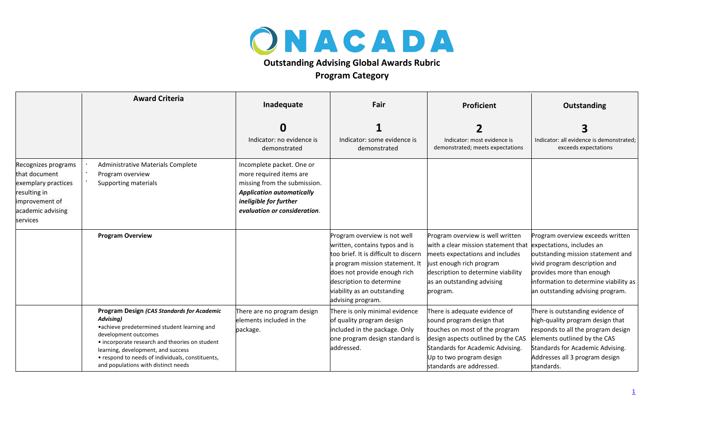

## **Outstanding Advising Global Awards Rubric**

## **Program Category**

|                                                                                                                                | <b>Award Criteria</b>                                                                                                                                                                                                                                                                                             | Inadequate                                                                                                                                                                         | Fair                                                                                                                                                                                                                                                       | <b>Proficient</b>                                                                                                                                                                                                                                 | <b>Outstanding</b>                                                                                                                                                                                                             |
|--------------------------------------------------------------------------------------------------------------------------------|-------------------------------------------------------------------------------------------------------------------------------------------------------------------------------------------------------------------------------------------------------------------------------------------------------------------|------------------------------------------------------------------------------------------------------------------------------------------------------------------------------------|------------------------------------------------------------------------------------------------------------------------------------------------------------------------------------------------------------------------------------------------------------|---------------------------------------------------------------------------------------------------------------------------------------------------------------------------------------------------------------------------------------------------|--------------------------------------------------------------------------------------------------------------------------------------------------------------------------------------------------------------------------------|
|                                                                                                                                |                                                                                                                                                                                                                                                                                                                   |                                                                                                                                                                                    |                                                                                                                                                                                                                                                            |                                                                                                                                                                                                                                                   |                                                                                                                                                                                                                                |
|                                                                                                                                |                                                                                                                                                                                                                                                                                                                   | Indicator: no evidence is<br>demonstrated                                                                                                                                          | Indicator: some evidence is<br>demonstrated                                                                                                                                                                                                                | Indicator: most evidence is<br>demonstrated; meets expectations                                                                                                                                                                                   | Indicator: all evidence is demonstrated;<br>exceeds expectations                                                                                                                                                               |
| Recognizes programs<br>that document<br>exemplary practices<br>resulting in<br>improvement of<br>academic advising<br>services | Administrative Materials Complete<br>Program overview<br>Supporting materials                                                                                                                                                                                                                                     | Incomplete packet. One or<br>more required items are<br>missing from the submission.<br><b>Application automatically</b><br>ineligible for further<br>evaluation or consideration. |                                                                                                                                                                                                                                                            |                                                                                                                                                                                                                                                   |                                                                                                                                                                                                                                |
|                                                                                                                                | <b>Program Overview</b>                                                                                                                                                                                                                                                                                           |                                                                                                                                                                                    | Program overview is not well<br>written, contains typos and is<br>too brief. It is difficult to discern<br>a program mission statement. It<br>does not provide enough rich<br>description to determine<br>viability as an outstanding<br>advising program. | Program overview is well written<br>with a clear mission statement that lexpectations, includes an<br>meets expectations and includes<br>just enough rich program<br>description to determine viability<br>as an outstanding advising<br>program. | Program overview exceeds written<br>outstanding mission statement and<br>vivid program description and<br>provides more than enough<br>information to determine viability as<br>an outstanding advising program.               |
|                                                                                                                                | Program Design (CAS Standards for Academic<br>Advising)<br>•achieve predetermined student learning and<br>development outcomes<br>• incorporate research and theories on student<br>learning, development, and success<br>• respond to needs of individuals, constituents,<br>and populations with distinct needs | There are no program design<br>elements included in the<br>package.                                                                                                                | There is only minimal evidence<br>of quality program design<br>included in the package. Only<br>one program design standard is<br>addressed.                                                                                                               | There is adequate evidence of<br>sound program design that<br>touches on most of the program<br>design aspects outlined by the CAS<br>Standards for Academic Advising.<br>Up to two program design<br>standards are addressed.                    | There is outstanding evidence of<br>high-quality program design that<br>responds to all the program design<br>elements outlined by the CAS<br>Standards for Academic Advising.<br>Addresses all 3 program design<br>standards. |